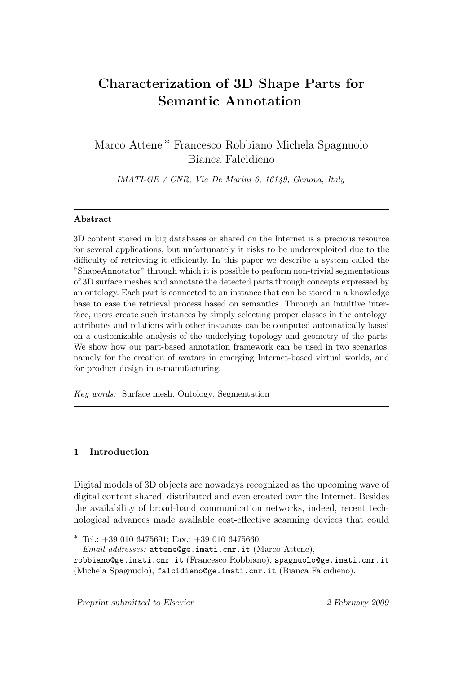# Characterization of 3D Shape Parts for Semantic Annotation

# Marco Attene ∗ Francesco Robbiano Michela Spagnuolo Bianca Falcidieno

IMATI-GE / CNR, Via De Marini 6, 16149, Genova, Italy

#### Abstract

3D content stored in big databases or shared on the Internet is a precious resource for several applications, but unfortunately it risks to be underexploited due to the difficulty of retrieving it efficiently. In this paper we describe a system called the "ShapeAnnotator" through which it is possible to perform non-trivial segmentations of 3D surface meshes and annotate the detected parts through concepts expressed by an ontology. Each part is connected to an instance that can be stored in a knowledge base to ease the retrieval process based on semantics. Through an intuitive interface, users create such instances by simply selecting proper classes in the ontology; attributes and relations with other instances can be computed automatically based on a customizable analysis of the underlying topology and geometry of the parts. We show how our part-based annotation framework can be used in two scenarios, namely for the creation of avatars in emerging Internet-based virtual worlds, and for product design in e-manufacturing.

Key words: Surface mesh, Ontology, Segmentation

# 1 Introduction

Digital models of 3D objects are nowadays recognized as the upcoming wave of digital content shared, distributed and even created over the Internet. Besides the availability of broad-band communication networks, indeed, recent technological advances made available cost-effective scanning devices that could

Preprint submitted to Elsevier 2 February 2009

 $*$  Tel.:  $+390106475691$ ; Fax.:  $+390106475660$ 

Email addresses: attene@ge.imati.cnr.it (Marco Attene),

robbiano@ge.imati.cnr.it (Francesco Robbiano), spagnuolo@ge.imati.cnr.it (Michela Spagnuolo), falcidieno@ge.imati.cnr.it (Bianca Falcidieno).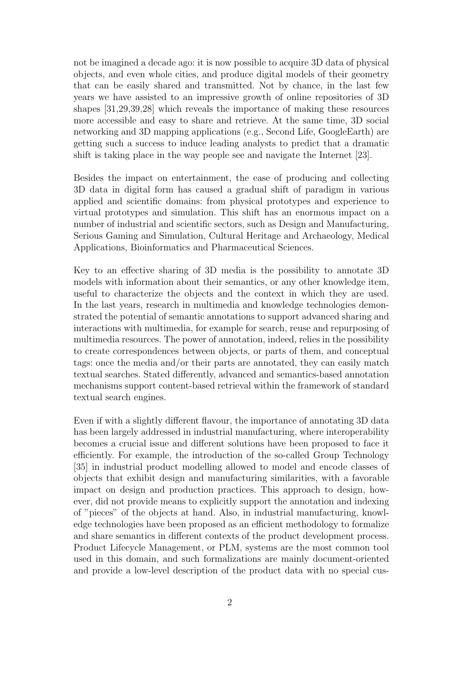not be imagined a decade ago: it is now possible to acquire 3D data of physical objects, and even whole cities, and produce digital models of their geometry that can be easily shared and transmitted. Not by chance, in the last few years we have assisted to an impressive growth of online repositories of 3D shapes [31,29,39,28] which reveals the importance of making these resources more accessible and easy to share and retrieve. At the same time, 3D social networking and 3D mapping applications (e.g., Second Life, GoogleEarth) are getting such a success to induce leading analysts to predict that a dramatic shift is taking place in the way people see and navigate the Internet [23].

Besides the impact on entertainment, the ease of producing and collecting 3D data in digital form has caused a gradual shift of paradigm in various applied and scientific domains: from physical prototypes and experience to virtual prototypes and simulation. This shift has an enormous impact on a number of industrial and scientific sectors, such as Design and Manufacturing, Serious Gaming and Simulation, Cultural Heritage and Archaeology, Medical Applications, Bioinformatics and Pharmaceutical Sciences.

Key to an effective sharing of 3D media is the possibility to annotate 3D models with information about their semantics, or any other knowledge item, useful to characterize the objects and the context in which they are used. In the last years, research in multimedia and knowledge technologies demonstrated the potential of semantic annotations to support advanced sharing and interactions with multimedia, for example for search, reuse and repurposing of multimedia resources. The power of annotation, indeed, relies in the possibility to create correspondences between objects, or parts of them, and conceptual tags: once the media and/or their parts are annotated, they can easily match textual searches. Stated differently, advanced and semantics-based annotation mechanisms support content-based retrieval within the framework of standard textual search engines.

Even if with a slightly different flavour, the importance of annotating 3D data has been largely addressed in industrial manufacturing, where interoperability becomes a crucial issue and different solutions have been proposed to face it efficiently. For example, the introduction of the so-called Group Technology [35] in industrial product modelling allowed to model and encode classes of objects that exhibit design and manufacturing similarities, with a favorable impact on design and production practices. This approach to design, however, did not provide means to explicitly support the annotation and indexing of "pieces" of the objects at hand. Also, in industrial manufacturing, knowledge technologies have been proposed as an efficient methodology to formalize and share semantics in different contexts of the product development process. Product Lifecycle Management, or PLM, systems are the most common tool used in this domain, and such formalizations are mainly document-oriented and provide a low-level description of the product data with no special cus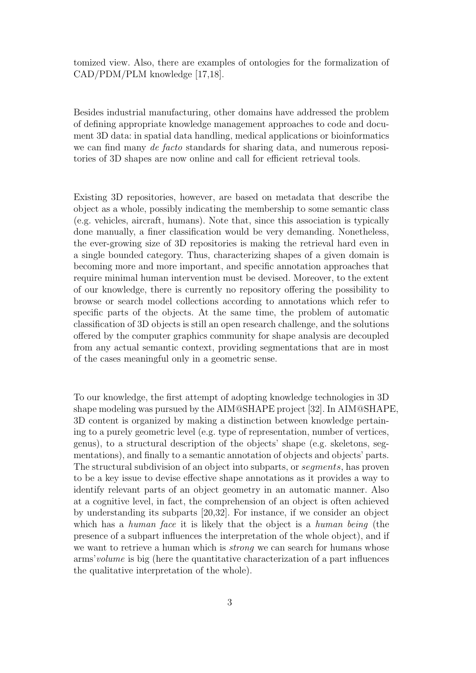tomized view. Also, there are examples of ontologies for the formalization of CAD/PDM/PLM knowledge [17,18].

Besides industrial manufacturing, other domains have addressed the problem of defining appropriate knowledge management approaches to code and document 3D data: in spatial data handling, medical applications or bioinformatics we can find many *de facto* standards for sharing data, and numerous repositories of 3D shapes are now online and call for efficient retrieval tools.

Existing 3D repositories, however, are based on metadata that describe the object as a whole, possibly indicating the membership to some semantic class (e.g. vehicles, aircraft, humans). Note that, since this association is typically done manually, a finer classification would be very demanding. Nonetheless, the ever-growing size of 3D repositories is making the retrieval hard even in a single bounded category. Thus, characterizing shapes of a given domain is becoming more and more important, and specific annotation approaches that require minimal human intervention must be devised. Moreover, to the extent of our knowledge, there is currently no repository offering the possibility to browse or search model collections according to annotations which refer to specific parts of the objects. At the same time, the problem of automatic classification of 3D objects is still an open research challenge, and the solutions offered by the computer graphics community for shape analysis are decoupled from any actual semantic context, providing segmentations that are in most of the cases meaningful only in a geometric sense.

To our knowledge, the first attempt of adopting knowledge technologies in 3D shape modeling was pursued by the AIM@SHAPE project [32]. In AIM@SHAPE, 3D content is organized by making a distinction between knowledge pertaining to a purely geometric level (e.g. type of representation, number of vertices, genus), to a structural description of the objects' shape (e.g. skeletons, segmentations), and finally to a semantic annotation of objects and objects' parts. The structural subdivision of an object into subparts, or segments, has proven to be a key issue to devise effective shape annotations as it provides a way to identify relevant parts of an object geometry in an automatic manner. Also at a cognitive level, in fact, the comprehension of an object is often achieved by understanding its subparts [20,32]. For instance, if we consider an object which has a human face it is likely that the object is a human being (the presence of a subpart influences the interpretation of the whole object), and if we want to retrieve a human which is *strong* we can search for humans whose arms'volume is big (here the quantitative characterization of a part influences the qualitative interpretation of the whole).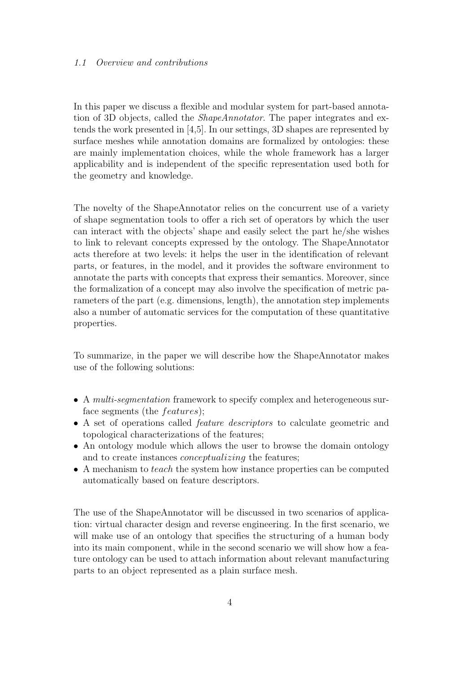#### 1.1 Overview and contributions

In this paper we discuss a flexible and modular system for part-based annotation of 3D objects, called the ShapeAnnotator. The paper integrates and extends the work presented in [4,5]. In our settings, 3D shapes are represented by surface meshes while annotation domains are formalized by ontologies: these are mainly implementation choices, while the whole framework has a larger applicability and is independent of the specific representation used both for the geometry and knowledge.

The novelty of the ShapeAnnotator relies on the concurrent use of a variety of shape segmentation tools to offer a rich set of operators by which the user can interact with the objects' shape and easily select the part he/she wishes to link to relevant concepts expressed by the ontology. The ShapeAnnotator acts therefore at two levels: it helps the user in the identification of relevant parts, or features, in the model, and it provides the software environment to annotate the parts with concepts that express their semantics. Moreover, since the formalization of a concept may also involve the specification of metric parameters of the part (e.g. dimensions, length), the annotation step implements also a number of automatic services for the computation of these quantitative properties.

To summarize, in the paper we will describe how the ShapeAnnotator makes use of the following solutions:

- A multi-segmentation framework to specify complex and heterogeneous surface segments (the *features*);
- A set of operations called feature descriptors to calculate geometric and topological characterizations of the features;
- An ontology module which allows the user to browse the domain ontology and to create instances conceptualizing the features;
- A mechanism to teach the system how instance properties can be computed automatically based on feature descriptors.

The use of the ShapeAnnotator will be discussed in two scenarios of application: virtual character design and reverse engineering. In the first scenario, we will make use of an ontology that specifies the structuring of a human body into its main component, while in the second scenario we will show how a feature ontology can be used to attach information about relevant manufacturing parts to an object represented as a plain surface mesh.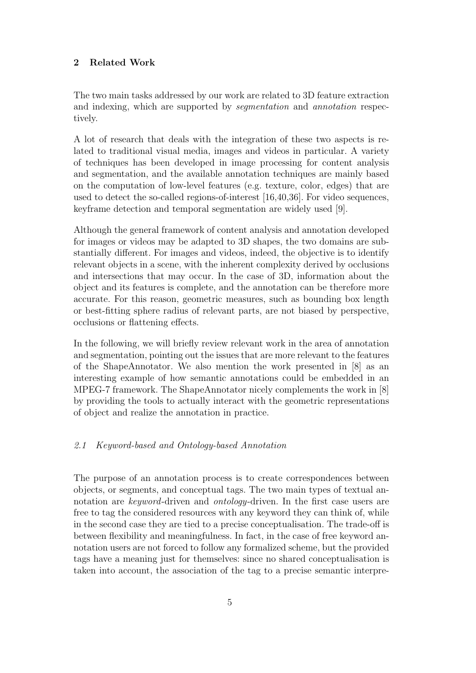# 2 Related Work

The two main tasks addressed by our work are related to 3D feature extraction and indexing, which are supported by *segmentation* and *annotation* respectively.

A lot of research that deals with the integration of these two aspects is related to traditional visual media, images and videos in particular. A variety of techniques has been developed in image processing for content analysis and segmentation, and the available annotation techniques are mainly based on the computation of low-level features (e.g. texture, color, edges) that are used to detect the so-called regions-of-interest [16,40,36]. For video sequences, keyframe detection and temporal segmentation are widely used [9].

Although the general framework of content analysis and annotation developed for images or videos may be adapted to 3D shapes, the two domains are substantially different. For images and videos, indeed, the objective is to identify relevant objects in a scene, with the inherent complexity derived by occlusions and intersections that may occur. In the case of 3D, information about the object and its features is complete, and the annotation can be therefore more accurate. For this reason, geometric measures, such as bounding box length or best-fitting sphere radius of relevant parts, are not biased by perspective, occlusions or flattening effects.

In the following, we will briefly review relevant work in the area of annotation and segmentation, pointing out the issues that are more relevant to the features of the ShapeAnnotator. We also mention the work presented in [8] as an interesting example of how semantic annotations could be embedded in an MPEG-7 framework. The ShapeAnnotator nicely complements the work in [8] by providing the tools to actually interact with the geometric representations of object and realize the annotation in practice.

#### 2.1 Keyword-based and Ontology-based Annotation

The purpose of an annotation process is to create correspondences between objects, or segments, and conceptual tags. The two main types of textual annotation are keyword-driven and ontology-driven. In the first case users are free to tag the considered resources with any keyword they can think of, while in the second case they are tied to a precise conceptualisation. The trade-off is between flexibility and meaningfulness. In fact, in the case of free keyword annotation users are not forced to follow any formalized scheme, but the provided tags have a meaning just for themselves: since no shared conceptualisation is taken into account, the association of the tag to a precise semantic interpre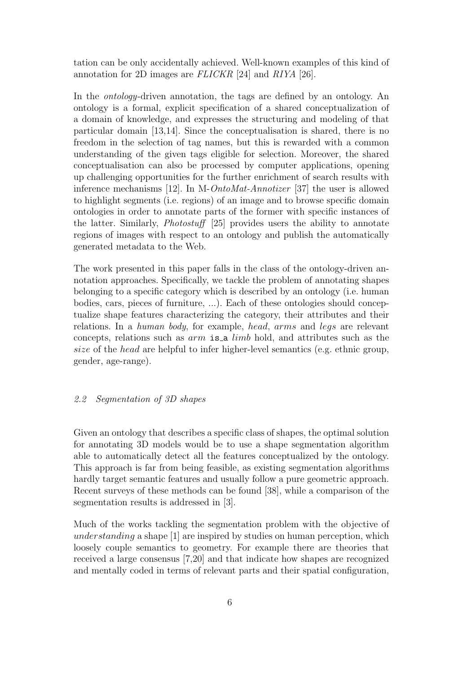tation can be only accidentally achieved. Well-known examples of this kind of annotation for 2D images are FLICKR [24] and RIYA [26].

In the *ontology*-driven annotation, the tags are defined by an ontology. An ontology is a formal, explicit specification of a shared conceptualization of a domain of knowledge, and expresses the structuring and modeling of that particular domain [13,14]. Since the conceptualisation is shared, there is no freedom in the selection of tag names, but this is rewarded with a common understanding of the given tags eligible for selection. Moreover, the shared conceptualisation can also be processed by computer applications, opening up challenging opportunities for the further enrichment of search results with inference mechanisms [12]. In M-OntoMat-Annotizer [37] the user is allowed to highlight segments (i.e. regions) of an image and to browse specific domain ontologies in order to annotate parts of the former with specific instances of the latter. Similarly, Photostuff [25] provides users the ability to annotate regions of images with respect to an ontology and publish the automatically generated metadata to the Web.

The work presented in this paper falls in the class of the ontology-driven annotation approaches. Specifically, we tackle the problem of annotating shapes belonging to a specific category which is described by an ontology (i.e. human bodies, cars, pieces of furniture, ...). Each of these ontologies should conceptualize shape features characterizing the category, their attributes and their relations. In a human body, for example, head, arms and legs are relevant concepts, relations such as  $arm$  is a limb hold, and attributes such as the size of the head are helpful to infer higher-level semantics (e.g. ethnic group, gender, age-range).

#### 2.2 Segmentation of 3D shapes

Given an ontology that describes a specific class of shapes, the optimal solution for annotating 3D models would be to use a shape segmentation algorithm able to automatically detect all the features conceptualized by the ontology. This approach is far from being feasible, as existing segmentation algorithms hardly target semantic features and usually follow a pure geometric approach. Recent surveys of these methods can be found [38], while a comparison of the segmentation results is addressed in [3].

Much of the works tackling the segmentation problem with the objective of understanding a shape  $[1]$  are inspired by studies on human perception, which loosely couple semantics to geometry. For example there are theories that received a large consensus [7,20] and that indicate how shapes are recognized and mentally coded in terms of relevant parts and their spatial configuration,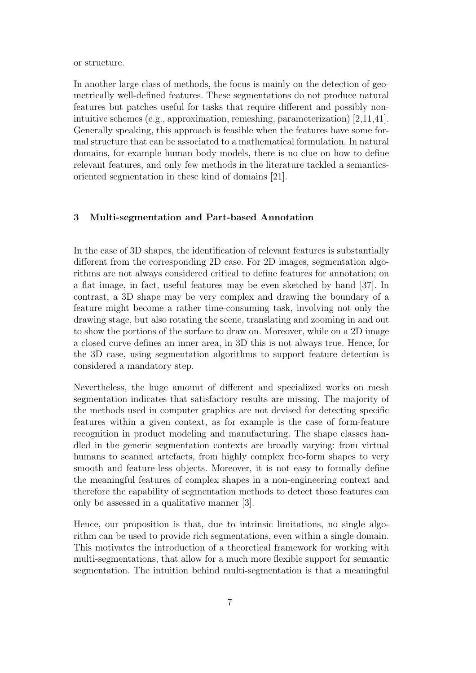or structure.

In another large class of methods, the focus is mainly on the detection of geometrically well-defined features. These segmentations do not produce natural features but patches useful for tasks that require different and possibly nonintuitive schemes (e.g., approximation, remeshing, parameterization) [2,11,41]. Generally speaking, this approach is feasible when the features have some formal structure that can be associated to a mathematical formulation. In natural domains, for example human body models, there is no clue on how to define relevant features, and only few methods in the literature tackled a semanticsoriented segmentation in these kind of domains [21].

#### 3 Multi-segmentation and Part-based Annotation

In the case of 3D shapes, the identification of relevant features is substantially different from the corresponding 2D case. For 2D images, segmentation algorithms are not always considered critical to define features for annotation; on a flat image, in fact, useful features may be even sketched by hand [37]. In contrast, a 3D shape may be very complex and drawing the boundary of a feature might become a rather time-consuming task, involving not only the drawing stage, but also rotating the scene, translating and zooming in and out to show the portions of the surface to draw on. Moreover, while on a 2D image a closed curve defines an inner area, in 3D this is not always true. Hence, for the 3D case, using segmentation algorithms to support feature detection is considered a mandatory step.

Nevertheless, the huge amount of different and specialized works on mesh segmentation indicates that satisfactory results are missing. The majority of the methods used in computer graphics are not devised for detecting specific features within a given context, as for example is the case of form-feature recognition in product modeling and manufacturing. The shape classes handled in the generic segmentation contexts are broadly varying: from virtual humans to scanned artefacts, from highly complex free-form shapes to very smooth and feature-less objects. Moreover, it is not easy to formally define the meaningful features of complex shapes in a non-engineering context and therefore the capability of segmentation methods to detect those features can only be assessed in a qualitative manner [3].

Hence, our proposition is that, due to intrinsic limitations, no single algorithm can be used to provide rich segmentations, even within a single domain. This motivates the introduction of a theoretical framework for working with multi-segmentations, that allow for a much more flexible support for semantic segmentation. The intuition behind multi-segmentation is that a meaningful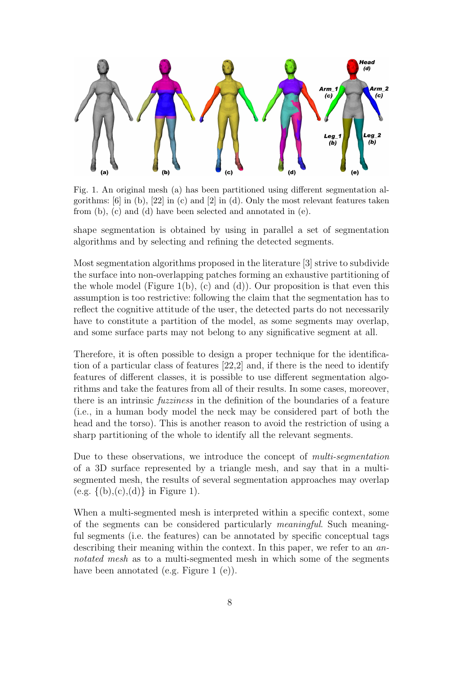

Fig. 1. An original mesh (a) has been partitioned using different segmentation algorithms:  $[6]$  in  $(b)$ ,  $[22]$  in  $(c)$  and  $[2]$  in  $(d)$ . Only the most relevant features taken from (b), (c) and (d) have been selected and annotated in (e).

shape segmentation is obtained by using in parallel a set of segmentation algorithms and by selecting and refining the detected segments.

Most segmentation algorithms proposed in the literature [3] strive to subdivide the surface into non-overlapping patches forming an exhaustive partitioning of the whole model (Figure 1(b), (c) and (d)). Our proposition is that even this assumption is too restrictive: following the claim that the segmentation has to reflect the cognitive attitude of the user, the detected parts do not necessarily have to constitute a partition of the model, as some segments may overlap, and some surface parts may not belong to any significative segment at all.

Therefore, it is often possible to design a proper technique for the identification of a particular class of features [22,2] and, if there is the need to identify features of different classes, it is possible to use different segmentation algorithms and take the features from all of their results. In some cases, moreover, there is an intrinsic fuzziness in the definition of the boundaries of a feature (i.e., in a human body model the neck may be considered part of both the head and the torso). This is another reason to avoid the restriction of using a sharp partitioning of the whole to identify all the relevant segments.

Due to these observations, we introduce the concept of multi-segmentation of a 3D surface represented by a triangle mesh, and say that in a multisegmented mesh, the results of several segmentation approaches may overlap (e.g.  $\{(b), (c), (d)\}\$ in Figure 1).

When a multi-segmented mesh is interpreted within a specific context, some of the segments can be considered particularly *meaningful*. Such meaningful segments (i.e. the features) can be annotated by specific conceptual tags describing their meaning within the context. In this paper, we refer to an annotated mesh as to a multi-segmented mesh in which some of the segments have been annotated (e.g. Figure 1 (e)).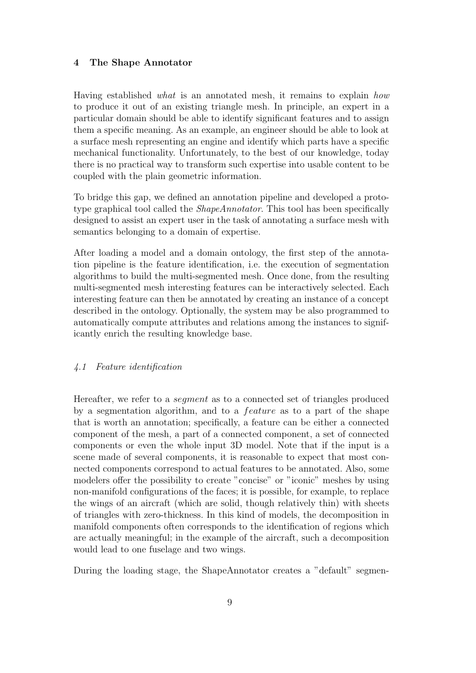#### 4 The Shape Annotator

Having established what is an annotated mesh, it remains to explain how to produce it out of an existing triangle mesh. In principle, an expert in a particular domain should be able to identify significant features and to assign them a specific meaning. As an example, an engineer should be able to look at a surface mesh representing an engine and identify which parts have a specific mechanical functionality. Unfortunately, to the best of our knowledge, today there is no practical way to transform such expertise into usable content to be coupled with the plain geometric information.

To bridge this gap, we defined an annotation pipeline and developed a prototype graphical tool called the *ShapeAnnotator*. This tool has been specifically designed to assist an expert user in the task of annotating a surface mesh with semantics belonging to a domain of expertise.

After loading a model and a domain ontology, the first step of the annotation pipeline is the feature identification, i.e. the execution of segmentation algorithms to build the multi-segmented mesh. Once done, from the resulting multi-segmented mesh interesting features can be interactively selected. Each interesting feature can then be annotated by creating an instance of a concept described in the ontology. Optionally, the system may be also programmed to automatically compute attributes and relations among the instances to significantly enrich the resulting knowledge base.

#### 4.1 Feature identification

Hereafter, we refer to a segment as to a connected set of triangles produced by a segmentation algorithm, and to a feature as to a part of the shape that is worth an annotation; specifically, a feature can be either a connected component of the mesh, a part of a connected component, a set of connected components or even the whole input 3D model. Note that if the input is a scene made of several components, it is reasonable to expect that most connected components correspond to actual features to be annotated. Also, some modelers offer the possibility to create "concise" or "iconic" meshes by using non-manifold configurations of the faces; it is possible, for example, to replace the wings of an aircraft (which are solid, though relatively thin) with sheets of triangles with zero-thickness. In this kind of models, the decomposition in manifold components often corresponds to the identification of regions which are actually meaningful; in the example of the aircraft, such a decomposition would lead to one fuselage and two wings.

During the loading stage, the ShapeAnnotator creates a "default" segmen-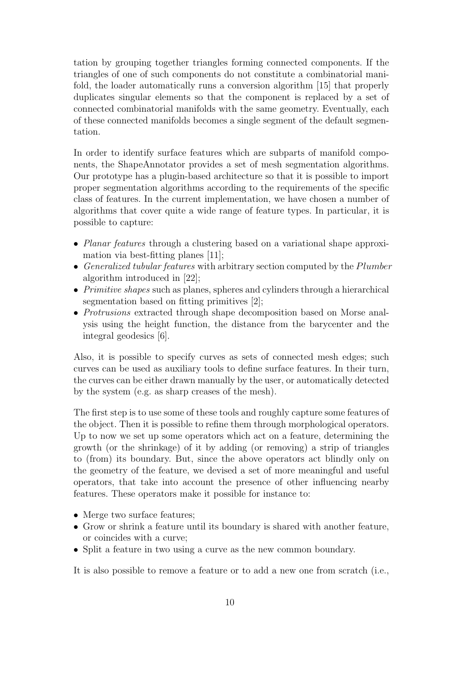tation by grouping together triangles forming connected components. If the triangles of one of such components do not constitute a combinatorial manifold, the loader automatically runs a conversion algorithm [15] that properly duplicates singular elements so that the component is replaced by a set of connected combinatorial manifolds with the same geometry. Eventually, each of these connected manifolds becomes a single segment of the default segmentation.

In order to identify surface features which are subparts of manifold components, the ShapeAnnotator provides a set of mesh segmentation algorithms. Our prototype has a plugin-based architecture so that it is possible to import proper segmentation algorithms according to the requirements of the specific class of features. In the current implementation, we have chosen a number of algorithms that cover quite a wide range of feature types. In particular, it is possible to capture:

- *Planar features* through a clustering based on a variational shape approximation via best-fitting planes [11];
- Generalized tubular features with arbitrary section computed by the Plumber algorithm introduced in [22];
- Primitive shapes such as planes, spheres and cylinders through a hierarchical segmentation based on fitting primitives [2];
- Protrusions extracted through shape decomposition based on Morse analysis using the height function, the distance from the barycenter and the integral geodesics [6].

Also, it is possible to specify curves as sets of connected mesh edges; such curves can be used as auxiliary tools to define surface features. In their turn, the curves can be either drawn manually by the user, or automatically detected by the system (e.g. as sharp creases of the mesh).

The first step is to use some of these tools and roughly capture some features of the object. Then it is possible to refine them through morphological operators. Up to now we set up some operators which act on a feature, determining the growth (or the shrinkage) of it by adding (or removing) a strip of triangles to (from) its boundary. But, since the above operators act blindly only on the geometry of the feature, we devised a set of more meaningful and useful operators, that take into account the presence of other influencing nearby features. These operators make it possible for instance to:

- Merge two surface features;
- Grow or shrink a feature until its boundary is shared with another feature, or coincides with a curve;
- Split a feature in two using a curve as the new common boundary.

It is also possible to remove a feature or to add a new one from scratch (i.e.,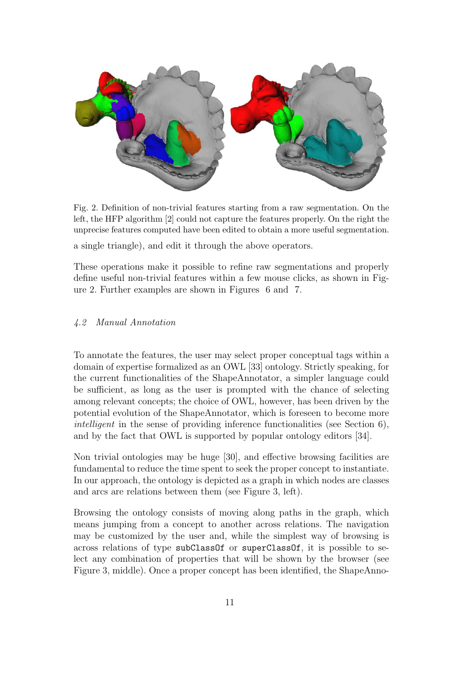

Fig. 2. Definition of non-trivial features starting from a raw segmentation. On the left, the HFP algorithm [2] could not capture the features properly. On the right the unprecise features computed have been edited to obtain a more useful segmentation.

a single triangle), and edit it through the above operators.

These operations make it possible to refine raw segmentations and properly define useful non-trivial features within a few mouse clicks, as shown in Figure 2. Further examples are shown in Figures 6 and 7.

## 4.2 Manual Annotation

To annotate the features, the user may select proper conceptual tags within a domain of expertise formalized as an OWL [33] ontology. Strictly speaking, for the current functionalities of the ShapeAnnotator, a simpler language could be sufficient, as long as the user is prompted with the chance of selecting among relevant concepts; the choice of OWL, however, has been driven by the potential evolution of the ShapeAnnotator, which is foreseen to become more *intelligent* in the sense of providing inference functionalities (see Section  $6$ ), and by the fact that OWL is supported by popular ontology editors [34].

Non trivial ontologies may be huge [30], and effective browsing facilities are fundamental to reduce the time spent to seek the proper concept to instantiate. In our approach, the ontology is depicted as a graph in which nodes are classes and arcs are relations between them (see Figure 3, left).

Browsing the ontology consists of moving along paths in the graph, which means jumping from a concept to another across relations. The navigation may be customized by the user and, while the simplest way of browsing is across relations of type subClassOf or superClassOf, it is possible to select any combination of properties that will be shown by the browser (see Figure 3, middle). Once a proper concept has been identified, the ShapeAnno-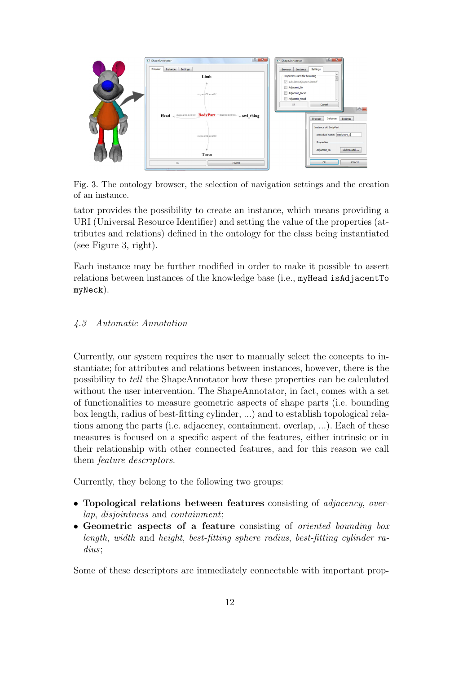

Fig. 3. The ontology browser, the selection of navigation settings and the creation of an instance.

tator provides the possibility to create an instance, which means providing a URI (Universal Resource Identifier) and setting the value of the properties (attributes and relations) defined in the ontology for the class being instantiated (see Figure 3, right).

Each instance may be further modified in order to make it possible to assert relations between instances of the knowledge base (i.e., myHead isAdjacentTo myNeck).

# 4.3 Automatic Annotation

Currently, our system requires the user to manually select the concepts to instantiate; for attributes and relations between instances, however, there is the possibility to tell the ShapeAnnotator how these properties can be calculated without the user intervention. The ShapeAnnotator, in fact, comes with a set of functionalities to measure geometric aspects of shape parts (i.e. bounding box length, radius of best-fitting cylinder, ...) and to establish topological relations among the parts (i.e. adjacency, containment, overlap, ...). Each of these measures is focused on a specific aspect of the features, either intrinsic or in their relationship with other connected features, and for this reason we call them feature descriptors.

Currently, they belong to the following two groups:

- Topological relations between features consisting of *adjacency*, overlap, disjointness and containment;
- Geometric aspects of a feature consisting of *oriented bounding box* length, width and height, best-fitting sphere radius, best-fitting cylinder radius;

Some of these descriptors are immediately connectable with important prop-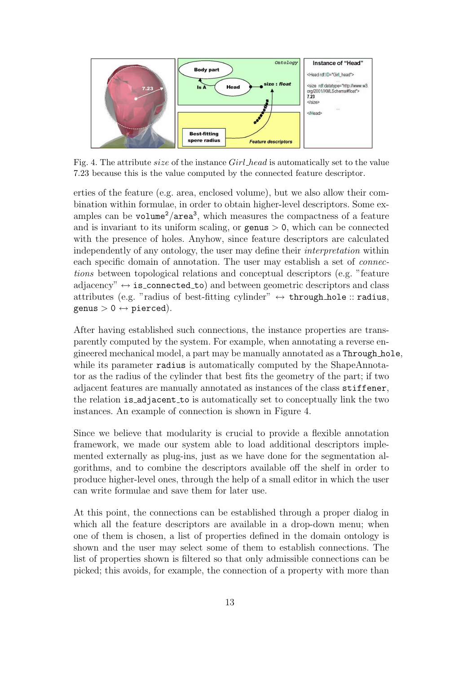

Fig. 4. The attribute size of the instance Girl head is automatically set to the value 7.23 because this is the value computed by the connected feature descriptor.

erties of the feature (e.g. area, enclosed volume), but we also allow their combination within formulae, in order to obtain higher-level descriptors. Some examples can be  $volume^2/area^3$ , which measures the compactness of a feature and is invariant to its uniform scaling, or  $\gamma$  penus  $> 0$ , which can be connected with the presence of holes. Anyhow, since feature descriptors are calculated independently of any ontology, the user may define their interpretation within each specific domain of annotation. The user may establish a set of connections between topological relations and conceptual descriptors (e.g. "feature adjacency"  $\leftrightarrow$  is connected to) and between geometric descriptors and class attributes (e.g. "radius of best-fitting cylinder"  $\leftrightarrow$  through hole :: radius,  $genus > 0 \leftrightarrow pierced).$ 

After having established such connections, the instance properties are transparently computed by the system. For example, when annotating a reverse engineered mechanical model, a part may be manually annotated as a Through hole, while its parameter radius is automatically computed by the ShapeAnnotator as the radius of the cylinder that best fits the geometry of the part; if two adjacent features are manually annotated as instances of the class stiffener, the relation is adjacent to is automatically set to conceptually link the two instances. An example of connection is shown in Figure 4.

Since we believe that modularity is crucial to provide a flexible annotation framework, we made our system able to load additional descriptors implemented externally as plug-ins, just as we have done for the segmentation algorithms, and to combine the descriptors available off the shelf in order to produce higher-level ones, through the help of a small editor in which the user can write formulae and save them for later use.

At this point, the connections can be established through a proper dialog in which all the feature descriptors are available in a drop-down menu; when one of them is chosen, a list of properties defined in the domain ontology is shown and the user may select some of them to establish connections. The list of properties shown is filtered so that only admissible connections can be picked; this avoids, for example, the connection of a property with more than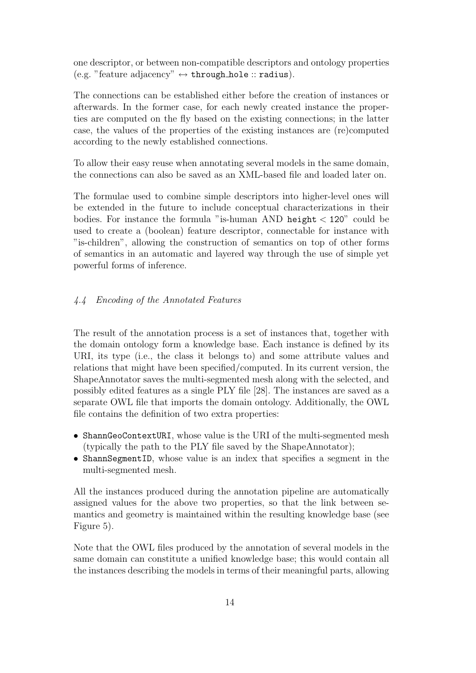one descriptor, or between non-compatible descriptors and ontology properties (e.g. "feature adjacency"  $\leftrightarrow$  through hole :: radius).

The connections can be established either before the creation of instances or afterwards. In the former case, for each newly created instance the properties are computed on the fly based on the existing connections; in the latter case, the values of the properties of the existing instances are (re)computed according to the newly established connections.

To allow their easy reuse when annotating several models in the same domain, the connections can also be saved as an XML-based file and loaded later on.

The formulae used to combine simple descriptors into higher-level ones will be extended in the future to include conceptual characterizations in their bodies. For instance the formula "is-human AND height  $< 120$ " could be used to create a (boolean) feature descriptor, connectable for instance with "is-children", allowing the construction of semantics on top of other forms of semantics in an automatic and layered way through the use of simple yet powerful forms of inference.

#### 4.4 Encoding of the Annotated Features

The result of the annotation process is a set of instances that, together with the domain ontology form a knowledge base. Each instance is defined by its URI, its type (i.e., the class it belongs to) and some attribute values and relations that might have been specified/computed. In its current version, the ShapeAnnotator saves the multi-segmented mesh along with the selected, and possibly edited features as a single PLY file [28]. The instances are saved as a separate OWL file that imports the domain ontology. Additionally, the OWL file contains the definition of two extra properties:

- ShannGeoContextURI, whose value is the URI of the multi-segmented mesh (typically the path to the PLY file saved by the ShapeAnnotator);
- ShannSegmentID, whose value is an index that specifies a segment in the multi-segmented mesh.

All the instances produced during the annotation pipeline are automatically assigned values for the above two properties, so that the link between semantics and geometry is maintained within the resulting knowledge base (see Figure 5).

Note that the OWL files produced by the annotation of several models in the same domain can constitute a unified knowledge base; this would contain all the instances describing the models in terms of their meaningful parts, allowing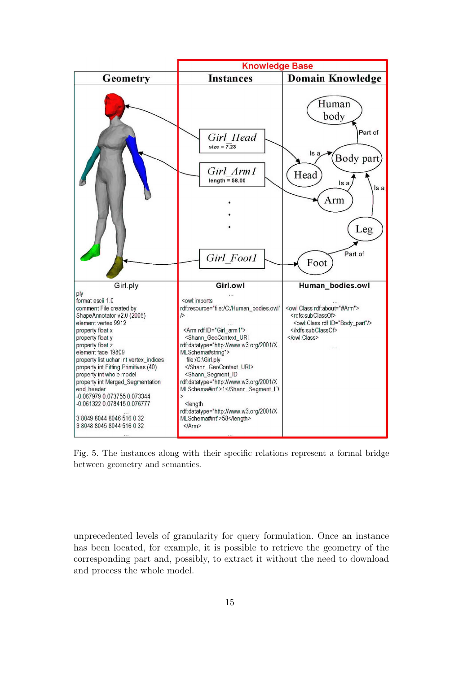

Fig. 5. The instances along with their specific relations represent a formal bridge between geometry and semantics.

unprecedented levels of granularity for query formulation. Once an instance has been located, for example, it is possible to retrieve the geometry of the corresponding part and, possibly, to extract it without the need to download and process the whole model.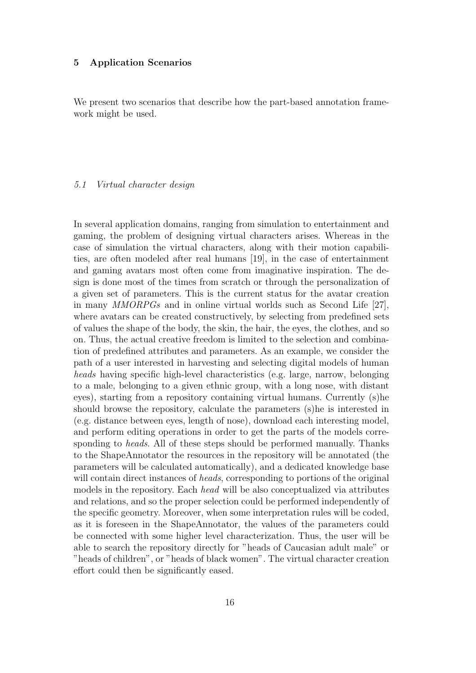#### 5 Application Scenarios

We present two scenarios that describe how the part-based annotation framework might be used.

#### 5.1 Virtual character design

In several application domains, ranging from simulation to entertainment and gaming, the problem of designing virtual characters arises. Whereas in the case of simulation the virtual characters, along with their motion capabilities, are often modeled after real humans [19], in the case of entertainment and gaming avatars most often come from imaginative inspiration. The design is done most of the times from scratch or through the personalization of a given set of parameters. This is the current status for the avatar creation in many MMORPGs and in online virtual worlds such as Second Life [27], where avatars can be created constructively, by selecting from predefined sets of values the shape of the body, the skin, the hair, the eyes, the clothes, and so on. Thus, the actual creative freedom is limited to the selection and combination of predefined attributes and parameters. As an example, we consider the path of a user interested in harvesting and selecting digital models of human heads having specific high-level characteristics (e.g. large, narrow, belonging to a male, belonging to a given ethnic group, with a long nose, with distant eyes), starting from a repository containing virtual humans. Currently (s)he should browse the repository, calculate the parameters (s)he is interested in (e.g. distance between eyes, length of nose), download each interesting model, and perform editing operations in order to get the parts of the models corresponding to *heads*. All of these steps should be performed manually. Thanks to the ShapeAnnotator the resources in the repository will be annotated (the parameters will be calculated automatically), and a dedicated knowledge base will contain direct instances of *heads*, corresponding to portions of the original models in the repository. Each head will be also conceptualized via attributes and relations, and so the proper selection could be performed independently of the specific geometry. Moreover, when some interpretation rules will be coded, as it is foreseen in the ShapeAnnotator, the values of the parameters could be connected with some higher level characterization. Thus, the user will be able to search the repository directly for "heads of Caucasian adult male" or "heads of children", or "heads of black women". The virtual character creation effort could then be significantly eased.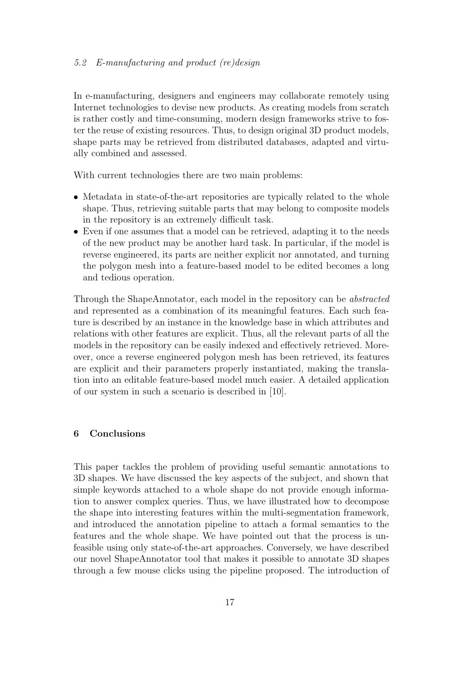### 5.2 E-manufacturing and product (re)design

In e-manufacturing, designers and engineers may collaborate remotely using Internet technologies to devise new products. As creating models from scratch is rather costly and time-consuming, modern design frameworks strive to foster the reuse of existing resources. Thus, to design original 3D product models, shape parts may be retrieved from distributed databases, adapted and virtually combined and assessed.

With current technologies there are two main problems:

- Metadata in state-of-the-art repositories are typically related to the whole shape. Thus, retrieving suitable parts that may belong to composite models in the repository is an extremely difficult task.
- Even if one assumes that a model can be retrieved, adapting it to the needs of the new product may be another hard task. In particular, if the model is reverse engineered, its parts are neither explicit nor annotated, and turning the polygon mesh into a feature-based model to be edited becomes a long and tedious operation.

Through the ShapeAnnotator, each model in the repository can be abstracted and represented as a combination of its meaningful features. Each such feature is described by an instance in the knowledge base in which attributes and relations with other features are explicit. Thus, all the relevant parts of all the models in the repository can be easily indexed and effectively retrieved. Moreover, once a reverse engineered polygon mesh has been retrieved, its features are explicit and their parameters properly instantiated, making the translation into an editable feature-based model much easier. A detailed application of our system in such a scenario is described in [10].

# 6 Conclusions

This paper tackles the problem of providing useful semantic annotations to 3D shapes. We have discussed the key aspects of the subject, and shown that simple keywords attached to a whole shape do not provide enough information to answer complex queries. Thus, we have illustrated how to decompose the shape into interesting features within the multi-segmentation framework, and introduced the annotation pipeline to attach a formal semantics to the features and the whole shape. We have pointed out that the process is unfeasible using only state-of-the-art approaches. Conversely, we have described our novel ShapeAnnotator tool that makes it possible to annotate 3D shapes through a few mouse clicks using the pipeline proposed. The introduction of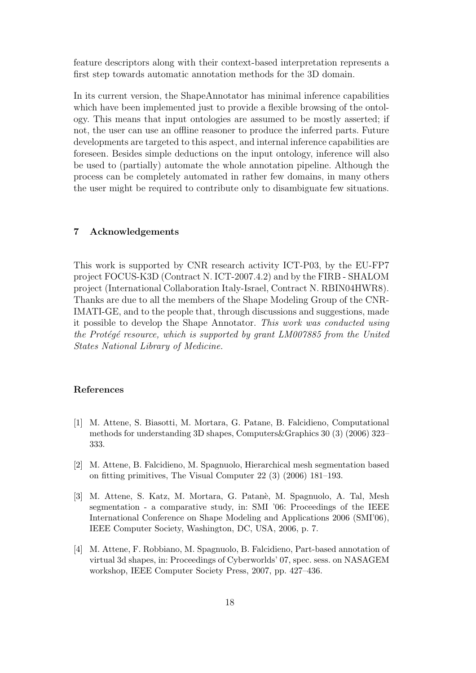feature descriptors along with their context-based interpretation represents a first step towards automatic annotation methods for the 3D domain.

In its current version, the ShapeAnnotator has minimal inference capabilities which have been implemented just to provide a flexible browsing of the ontology. This means that input ontologies are assumed to be mostly asserted; if not, the user can use an offline reasoner to produce the inferred parts. Future developments are targeted to this aspect, and internal inference capabilities are foreseen. Besides simple deductions on the input ontology, inference will also be used to (partially) automate the whole annotation pipeline. Although the process can be completely automated in rather few domains, in many others the user might be required to contribute only to disambiguate few situations.

# 7 Acknowledgements

This work is supported by CNR research activity ICT-P03, by the EU-FP7 project FOCUS-K3D (Contract N. ICT-2007.4.2) and by the FIRB - SHALOM project (International Collaboration Italy-Israel, Contract N. RBIN04HWR8). Thanks are due to all the members of the Shape Modeling Group of the CNR-IMATI-GE, and to the people that, through discussions and suggestions, made it possible to develop the Shape Annotator. This work was conducted using the Protégé resource, which is supported by grant  $LM007885$  from the United States National Library of Medicine.

#### References

- [1] M. Attene, S. Biasotti, M. Mortara, G. Patane, B. Falcidieno, Computational methods for understanding 3D shapes, Computers&Graphics 30 (3) (2006) 323– 333.
- [2] M. Attene, B. Falcidieno, M. Spagnuolo, Hierarchical mesh segmentation based on fitting primitives, The Visual Computer 22 (3) (2006) 181–193.
- [3] M. Attene, S. Katz, M. Mortara, G. Patan`e, M. Spagnuolo, A. Tal, Mesh segmentation - a comparative study, in: SMI '06: Proceedings of the IEEE International Conference on Shape Modeling and Applications 2006 (SMI'06), IEEE Computer Society, Washington, DC, USA, 2006, p. 7.
- [4] M. Attene, F. Robbiano, M. Spagnuolo, B. Falcidieno, Part-based annotation of virtual 3d shapes, in: Proceedings of Cyberworlds' 07, spec. sess. on NASAGEM workshop, IEEE Computer Society Press, 2007, pp. 427–436.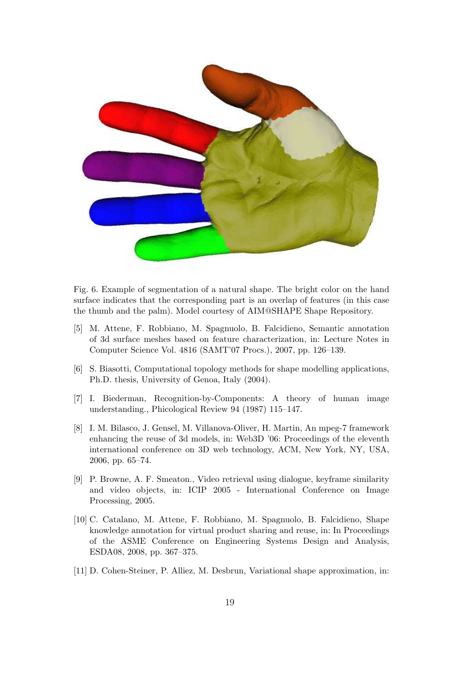

Fig. 6. Example of segmentation of a natural shape. The bright color on the hand surface indicates that the corresponding part is an overlap of features (in this case the thumb and the palm). Model courtesy of AIM@SHAPE Shape Repository.

- [5] M. Attene, F. Robbiano, M. Spagnuolo, B. Falcidieno, Semantic annotation of 3d surface meshes based on feature characterization, in: Lecture Notes in Computer Science Vol. 4816 (SAMT'07 Procs.), 2007, pp. 126–139.
- [6] S. Biasotti, Computational topology methods for shape modelling applications, Ph.D. thesis, University of Genoa, Italy (2004).
- [7] I. Biederman, Recognition-by-Components: A theory of human image understanding., Phicological Review 94 (1987) 115–147.
- [8] I. M. Bilasco, J. Gensel, M. Villanova-Oliver, H. Martin, An mpeg-7 framework enhancing the reuse of 3d models, in: Web3D '06: Proceedings of the eleventh international conference on 3D web technology, ACM, New York, NY, USA, 2006, pp. 65–74.
- [9] P. Browne, A. F. Smeaton., Video retrieval using dialogue, keyframe similarity and video objects, in: ICIP 2005 - International Conference on Image Processing, 2005.
- [10] C. Catalano, M. Attene, F. Robbiano, M. Spagnuolo, B. Falcidieno, Shape knowledge annotation for virtual product sharing and reuse, in: In Proceedings of the ASME Conference on Engineering Systems Design and Analysis, ESDA08, 2008, pp. 367–375.
- [11] D. Cohen-Steiner, P. Alliez, M. Desbrun, Variational shape approximation, in: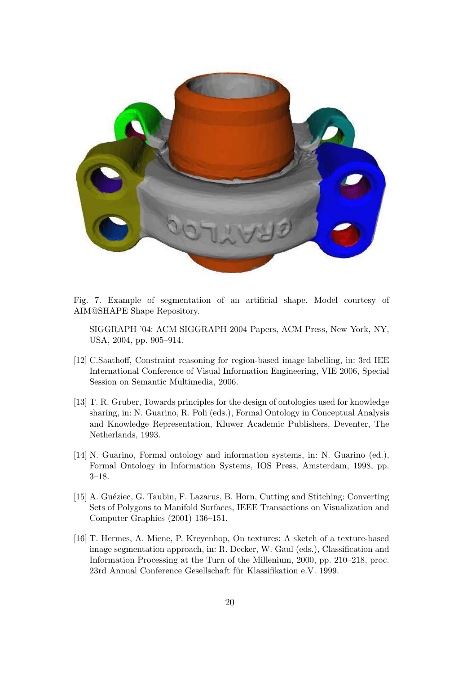

Fig. 7. Example of segmentation of an artificial shape. Model courtesy of AIM@SHAPE Shape Repository.

SIGGRAPH '04: ACM SIGGRAPH 2004 Papers, ACM Press, New York, NY, USA, 2004, pp. 905–914.

- [12] C.Saathoff, Constraint reasoning for region-based image labelling, in: 3rd IEE International Conference of Visual Information Engineering, VIE 2006, Special Session on Semantic Multimedia, 2006.
- [13] T. R. Gruber, Towards principles for the design of ontologies used for knowledge sharing, in: N. Guarino, R. Poli (eds.), Formal Ontology in Conceptual Analysis and Knowledge Representation, Kluwer Academic Publishers, Deventer, The Netherlands, 1993.
- [14] N. Guarino, Formal ontology and information systems, in: N. Guarino (ed.), Formal Ontology in Information Systems, IOS Press, Amsterdam, 1998, pp. 3–18.
- [15] A. Guéziec, G. Taubin, F. Lazarus, B. Horn, Cutting and Stitching: Converting Sets of Polygons to Manifold Surfaces, IEEE Transactions on Visualization and Computer Graphics (2001) 136–151.
- [16] T. Hermes, A. Miene, P. Kreyenhop, On textures: A sketch of a texture-based image segmentation approach, in: R. Decker, W. Gaul (eds.), Classification and Information Processing at the Turn of the Millenium, 2000, pp. 210–218, proc. 23rd Annual Conference Gesellschaft für Klassifikation e.V. 1999.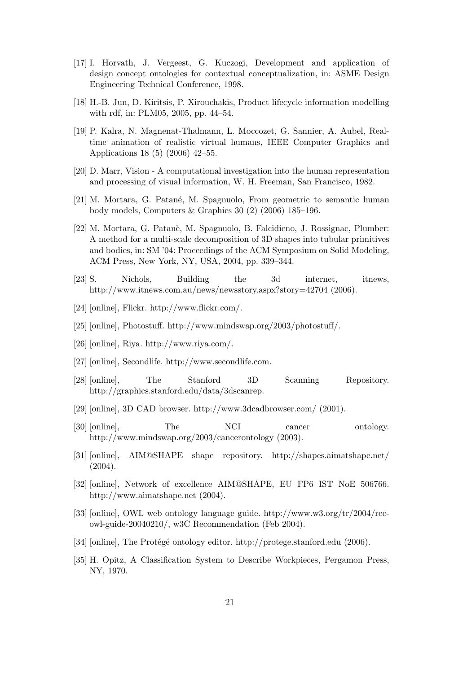- [17] I. Horvath, J. Vergeest, G. Kuczogi, Development and application of design concept ontologies for contextual conceptualization, in: ASME Design Engineering Technical Conference, 1998.
- [18] H.-B. Jun, D. Kiritsis, P. Xirouchakis, Product lifecycle information modelling with rdf, in: PLM05, 2005, pp. 44–54.
- [19] P. Kalra, N. Magnenat-Thalmann, L. Moccozet, G. Sannier, A. Aubel, Realtime animation of realistic virtual humans, IEEE Computer Graphics and Applications 18 (5) (2006) 42–55.
- [20] D. Marr, Vision A computational investigation into the human representation and processing of visual information, W. H. Freeman, San Francisco, 1982.
- [21] M. Mortara, G. Patan´e, M. Spagnuolo, From geometric to semantic human body models, Computers & Graphics 30 (2) (2006) 185–196.
- [22] M. Mortara, G. Patan`e, M. Spagnuolo, B. Falcidieno, J. Rossignac, Plumber: A method for a multi-scale decomposition of 3D shapes into tubular primitives and bodies, in: SM '04: Proceedings of the ACM Symposium on Solid Modeling, ACM Press, New York, NY, USA, 2004, pp. 339–344.
- [23] S. Nichols, Building the 3d internet, itnews, http://www.itnews.com.au/news/newsstory.aspx?story=42704 (2006).
- [24] [online], Flickr. http://www.flickr.com/.
- [25] [online], Photostuff. http://www.mindswap.org/2003/photostuff/.
- [26] [online], Riya. http://www.riya.com/.
- [27] [online], Secondlife. http://www.secondlife.com.
- [28] [online], The Stanford 3D Scanning Repository. http://graphics.stanford.edu/data/3dscanrep.
- [29] [online], 3D CAD browser. http://www.3dcadbrowser.com/ (2001).
- [30] [online], The NCI cancer ontology. http://www.mindswap.org/2003/cancerontology (2003).
- [31] [online], AIM@SHAPE shape repository. http://shapes.aimatshape.net/ (2004).
- [32] [online], Network of excellence AIM@SHAPE, EU FP6 IST NoE 506766. http://www.aimatshape.net (2004).
- [33] [online], OWL web ontology language guide. http://www.w3.org/tr/2004/recowl-guide-20040210/, w3C Recommendation (Feb 2004).
- [34] [online], The Protégé ontology editor. http://protege.stanford.edu (2006).
- [35] H. Opitz, A Classification System to Describe Workpieces, Pergamon Press, NY, 1970.